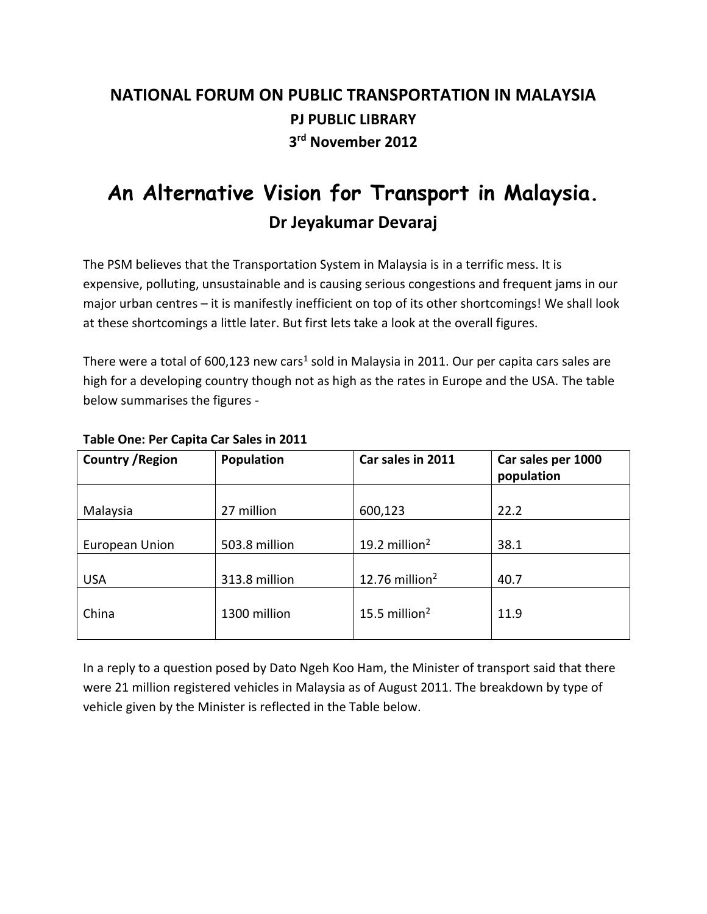## **NATIONAL FORUM ON PUBLIC TRANSPORTATION IN MALAYSIA PJ PUBLIC LIBRARY 3 rd November 2012**

# **An Alternative Vision for Transport in Malaysia. Dr Jeyakumar Devaraj**

The PSM believes that the Transportation System in Malaysia is in a terrific mess. It is expensive, polluting, unsustainable and is causing serious congestions and frequent jams in our major urban centres – it is manifestly inefficient on top of its other shortcomings! We shall look at these shortcomings a little later. But first lets take a look at the overall figures.

There were a total of 600,123 new cars<sup>1</sup> sold in Malaysia in 2011. Our per capita cars sales are high for a developing country though not as high as the rates in Europe and the USA. The table below summarises the figures -

| <b>Country / Region</b> | <b>Population</b> | Car sales in 2011 | Car sales per 1000<br>population |
|-------------------------|-------------------|-------------------|----------------------------------|
| Malaysia                | 27 million        | 600,123           | 22.2                             |
| European Union          | 503.8 million     | 19.2 million $2$  | 38.1                             |
| <b>USA</b>              | 313.8 million     | 12.76 million $2$ | 40.7                             |
| China                   | 1300 million      | 15.5 million $2$  | 11.9                             |

#### **Table One: Per Capita Car Sales in 2011**

In a reply to a question posed by Dato Ngeh Koo Ham, the Minister of transport said that there were 21 million registered vehicles in Malaysia as of August 2011. The breakdown by type of vehicle given by the Minister is reflected in the Table below.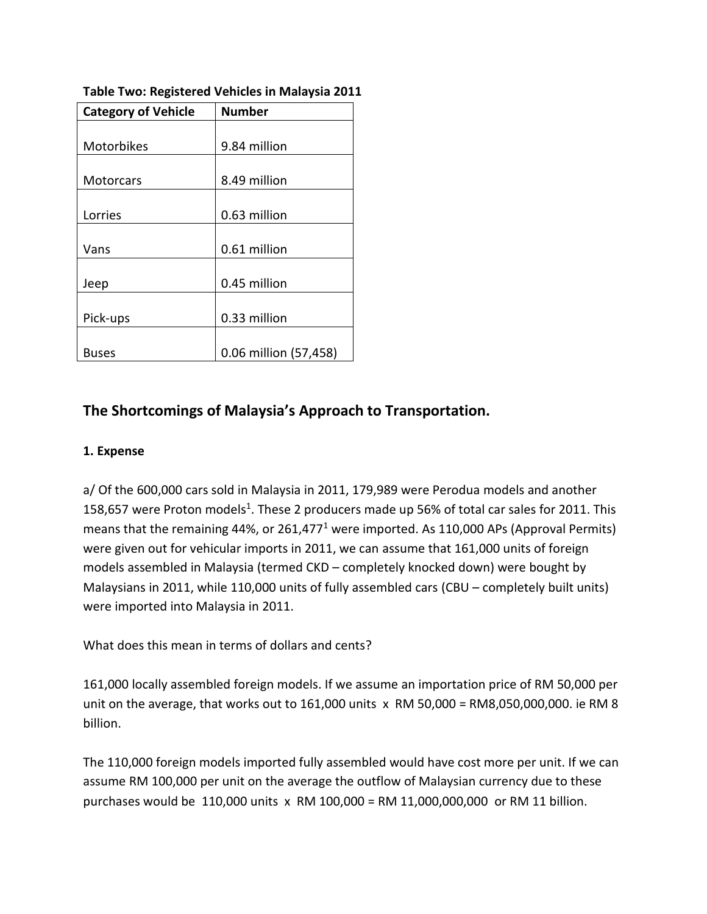| <b>Category of Vehicle</b> | <b>Number</b>         |  |
|----------------------------|-----------------------|--|
|                            |                       |  |
| Motorbikes                 | 9.84 million          |  |
|                            |                       |  |
| <b>Motorcars</b>           | 8.49 million          |  |
|                            |                       |  |
| Lorries                    | 0.63 million          |  |
|                            |                       |  |
| Vans                       | 0.61 million          |  |
|                            |                       |  |
| Jeep                       | 0.45 million          |  |
|                            |                       |  |
| Pick-ups                   | 0.33 million          |  |
|                            |                       |  |
| <b>Buses</b>               | 0.06 million (57,458) |  |

**Table Two: Registered Vehicles in Malaysia 2011**

## **The Shortcomings of Malaysia's Approach to Transportation.**

#### **1. Expense**

a/ Of the 600,000 cars sold in Malaysia in 2011, 179,989 were Perodua models and another 158,657 were Proton models<sup>1</sup>. These 2 producers made up 56% of total car sales for 2011. This means that the remaining 44%, or 261,477<sup>1</sup> were imported. As 110,000 APs (Approval Permits) were given out for vehicular imports in 2011, we can assume that 161,000 units of foreign models assembled in Malaysia (termed CKD – completely knocked down) were bought by Malaysians in 2011, while 110,000 units of fully assembled cars (CBU – completely built units) were imported into Malaysia in 2011.

What does this mean in terms of dollars and cents?

161,000 locally assembled foreign models. If we assume an importation price of RM 50,000 per unit on the average, that works out to 161,000 units  $x$  RM 50,000 = RM8,050,000,000. ie RM 8 billion.

The 110,000 foreign models imported fully assembled would have cost more per unit. If we can assume RM 100,000 per unit on the average the outflow of Malaysian currency due to these purchases would be 110,000 units x RM 100,000 = RM 11,000,000,000 or RM 11 billion.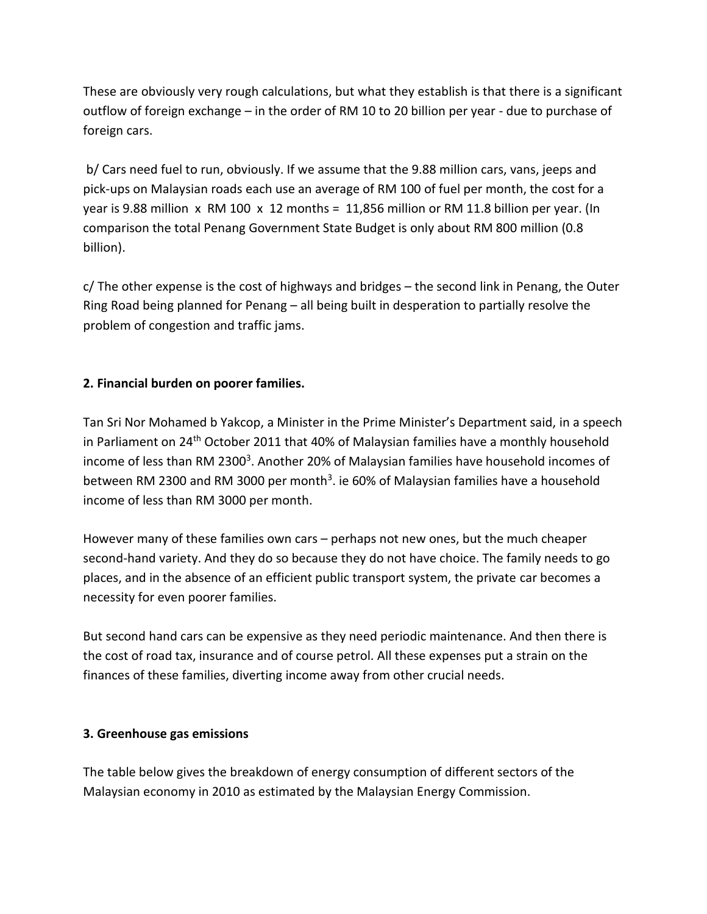These are obviously very rough calculations, but what they establish is that there is a significant outflow of foreign exchange – in the order of RM 10 to 20 billion per year - due to purchase of foreign cars.

b/ Cars need fuel to run, obviously. If we assume that the 9.88 million cars, vans, jeeps and pick-ups on Malaysian roads each use an average of RM 100 of fuel per month, the cost for a year is 9.88 million x RM 100 x 12 months = 11,856 million or RM 11.8 billion per year. (In comparison the total Penang Government State Budget is only about RM 800 million (0.8 billion).

 $c$ / The other expense is the cost of highways and bridges  $-$  the second link in Penang, the Outer Ring Road being planned for Penang – all being built in desperation to partially resolve the problem of congestion and traffic jams.

#### **2. Financial burden on poorer families.**

Tan Sri Nor Mohamed b Yakcop, a Minister in the Prime Minister's Department said, in a speech in Parliament on 24<sup>th</sup> October 2011 that 40% of Malaysian families have a monthly household income of less than RM 2300<sup>3</sup>. Another 20% of Malaysian families have household incomes of between RM 2300 and RM 3000 per month<sup>3</sup>. ie 60% of Malaysian families have a household income of less than RM 3000 per month.

However many of these families own cars – perhaps not new ones, but the much cheaper second-hand variety. And they do so because they do not have choice. The family needs to go places, and in the absence of an efficient public transport system, the private car becomes a necessity for even poorer families.

But second hand cars can be expensive as they need periodic maintenance. And then there is the cost of road tax, insurance and of course petrol. All these expenses put a strain on the finances of these families, diverting income away from other crucial needs.

#### **3. Greenhouse gas emissions**

The table below gives the breakdown of energy consumption of different sectors of the Malaysian economy in 2010 as estimated by the Malaysian Energy Commission.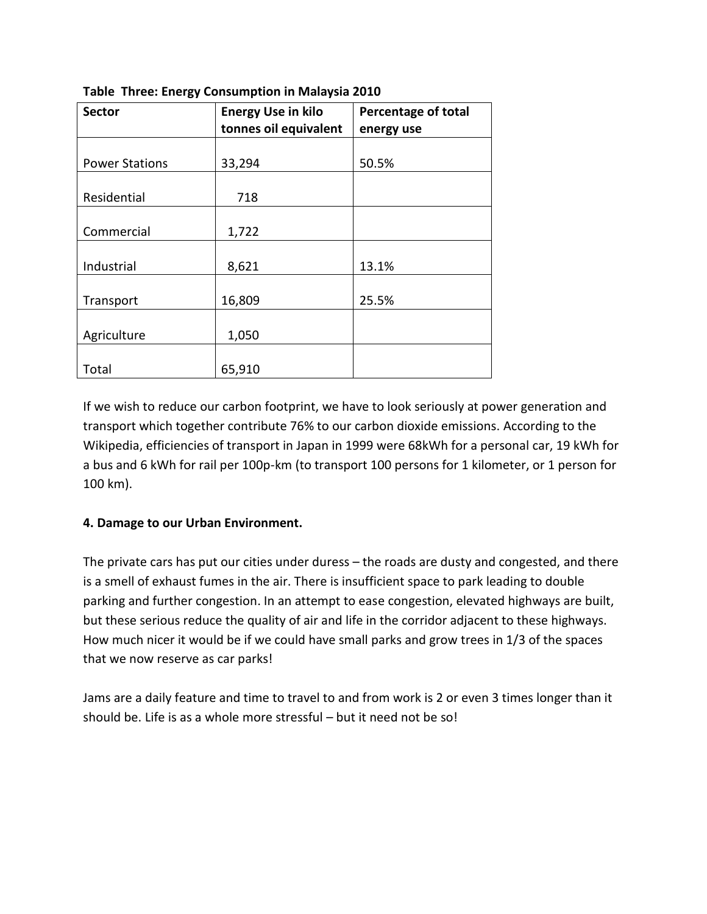| <b>Sector</b>         | <b>Energy Use in kilo</b> | <b>Percentage of total</b> |
|-----------------------|---------------------------|----------------------------|
|                       | tonnes oil equivalent     | energy use                 |
|                       |                           |                            |
| <b>Power Stations</b> | 33,294                    | 50.5%                      |
|                       |                           |                            |
| Residential           | 718                       |                            |
|                       |                           |                            |
| Commercial            | 1,722                     |                            |
|                       |                           |                            |
| Industrial            | 8,621                     | 13.1%                      |
|                       |                           |                            |
| Transport             | 16,809                    | 25.5%                      |
|                       |                           |                            |
| Agriculture           | 1,050                     |                            |
|                       |                           |                            |
| Total                 | 65,910                    |                            |

**Table Three: Energy Consumption in Malaysia 2010**

If we wish to reduce our carbon footprint, we have to look seriously at power generation and transport which together contribute 76% to our carbon dioxide emissions. According to the Wikipedia, efficiencies of transport in Japan in 1999 were 68kWh for a personal car, 19 kWh for a bus and 6 kWh for rail per 100p-km (to transport 100 persons for 1 kilometer, or 1 person for 100 km).

#### **4. Damage to our Urban Environment.**

The private cars has put our cities under duress – the roads are dusty and congested, and there is a smell of exhaust fumes in the air. There is insufficient space to park leading to double parking and further congestion. In an attempt to ease congestion, elevated highways are built, but these serious reduce the quality of air and life in the corridor adjacent to these highways. How much nicer it would be if we could have small parks and grow trees in 1/3 of the spaces that we now reserve as car parks!

Jams are a daily feature and time to travel to and from work is 2 or even 3 times longer than it should be. Life is as a whole more stressful – but it need not be so!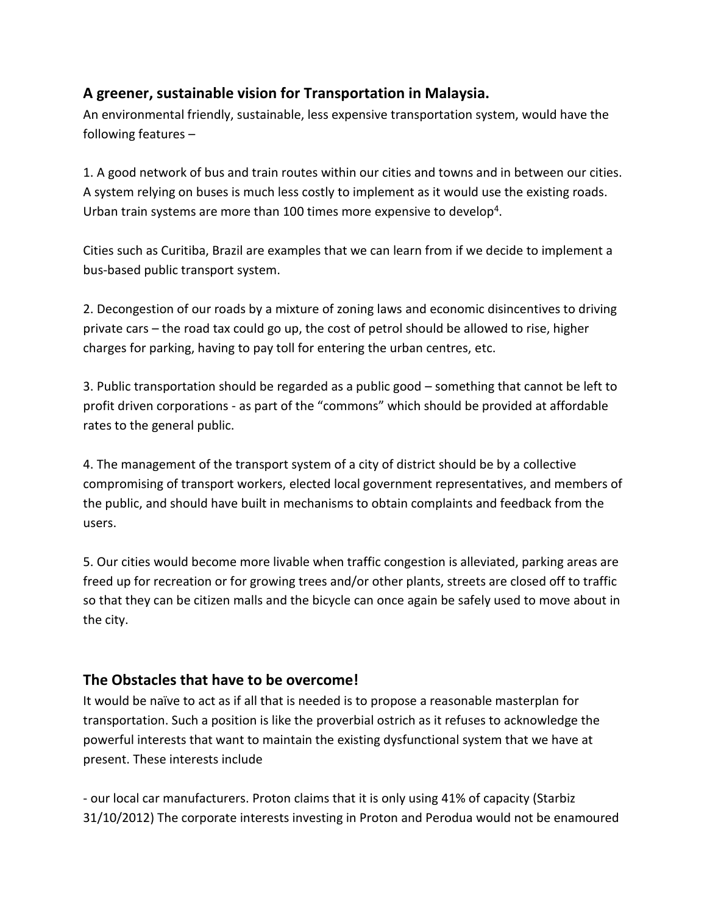## **A greener, sustainable vision for Transportation in Malaysia.**

An environmental friendly, sustainable, less expensive transportation system, would have the following features –

1. A good network of bus and train routes within our cities and towns and in between our cities. A system relying on buses is much less costly to implement as it would use the existing roads. Urban train systems are more than 100 times more expensive to develop<sup>4</sup>.

Cities such as Curitiba, Brazil are examples that we can learn from if we decide to implement a bus-based public transport system.

2. Decongestion of our roads by a mixture of zoning laws and economic disincentives to driving private cars – the road tax could go up, the cost of petrol should be allowed to rise, higher charges for parking, having to pay toll for entering the urban centres, etc.

3. Public transportation should be regarded as a public good – something that cannot be left to profit driven corporations - as part of the "commons" which should be provided at affordable rates to the general public.

4. The management of the transport system of a city of district should be by a collective compromising of transport workers, elected local government representatives, and members of the public, and should have built in mechanisms to obtain complaints and feedback from the users.

5. Our cities would become more livable when traffic congestion is alleviated, parking areas are freed up for recreation or for growing trees and/or other plants, streets are closed off to traffic so that they can be citizen malls and the bicycle can once again be safely used to move about in the city.

## **The Obstacles that have to be overcome!**

It would be naïve to act as if all that is needed is to propose a reasonable masterplan for transportation. Such a position is like the proverbial ostrich as it refuses to acknowledge the powerful interests that want to maintain the existing dysfunctional system that we have at present. These interests include

- our local car manufacturers. Proton claims that it is only using 41% of capacity (Starbiz 31/10/2012) The corporate interests investing in Proton and Perodua would not be enamoured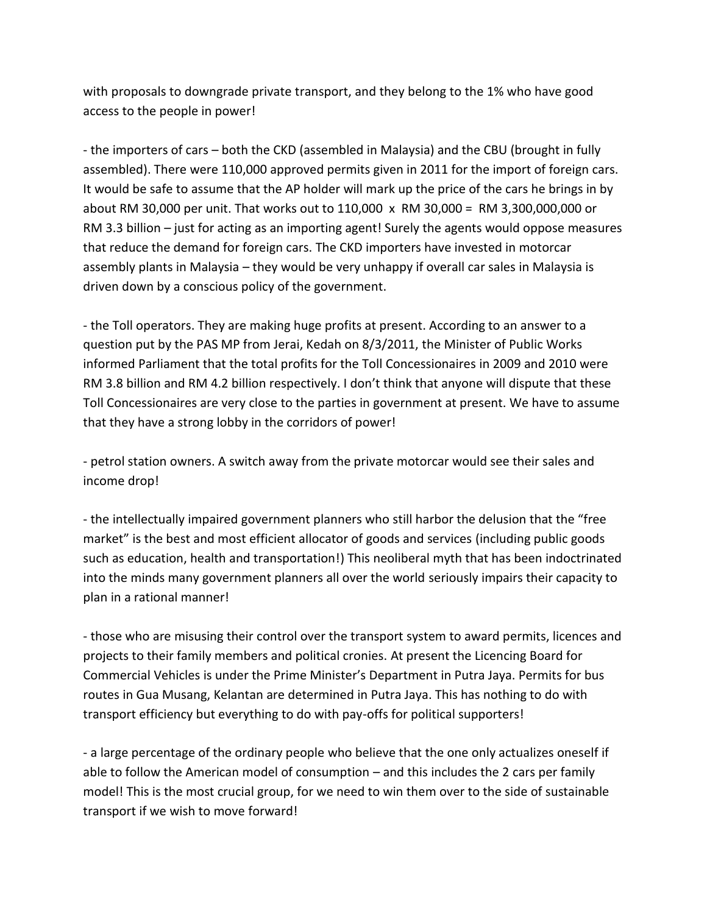with proposals to downgrade private transport, and they belong to the 1% who have good access to the people in power!

- the importers of cars – both the CKD (assembled in Malaysia) and the CBU (brought in fully assembled). There were 110,000 approved permits given in 2011 for the import of foreign cars. It would be safe to assume that the AP holder will mark up the price of the cars he brings in by about RM 30,000 per unit. That works out to 110,000 x RM 30,000 = RM 3,300,000,000 or RM 3.3 billion – just for acting as an importing agent! Surely the agents would oppose measures that reduce the demand for foreign cars. The CKD importers have invested in motorcar assembly plants in Malaysia – they would be very unhappy if overall car sales in Malaysia is driven down by a conscious policy of the government.

- the Toll operators. They are making huge profits at present. According to an answer to a question put by the PAS MP from Jerai, Kedah on 8/3/2011, the Minister of Public Works informed Parliament that the total profits for the Toll Concessionaires in 2009 and 2010 were RM 3.8 billion and RM 4.2 billion respectively. I don't think that anyone will dispute that these Toll Concessionaires are very close to the parties in government at present. We have to assume that they have a strong lobby in the corridors of power!

- petrol station owners. A switch away from the private motorcar would see their sales and income drop!

- the intellectually impaired government planners who still harbor the delusion that the "free market" is the best and most efficient allocator of goods and services (including public goods such as education, health and transportation!) This neoliberal myth that has been indoctrinated into the minds many government planners all over the world seriously impairs their capacity to plan in a rational manner!

- those who are misusing their control over the transport system to award permits, licences and projects to their family members and political cronies. At present the Licencing Board for Commercial Vehicles is under the Prime Minister's Department in Putra Jaya. Permits for bus routes in Gua Musang, Kelantan are determined in Putra Jaya. This has nothing to do with transport efficiency but everything to do with pay-offs for political supporters!

- a large percentage of the ordinary people who believe that the one only actualizes oneself if able to follow the American model of consumption – and this includes the 2 cars per family model! This is the most crucial group, for we need to win them over to the side of sustainable transport if we wish to move forward!